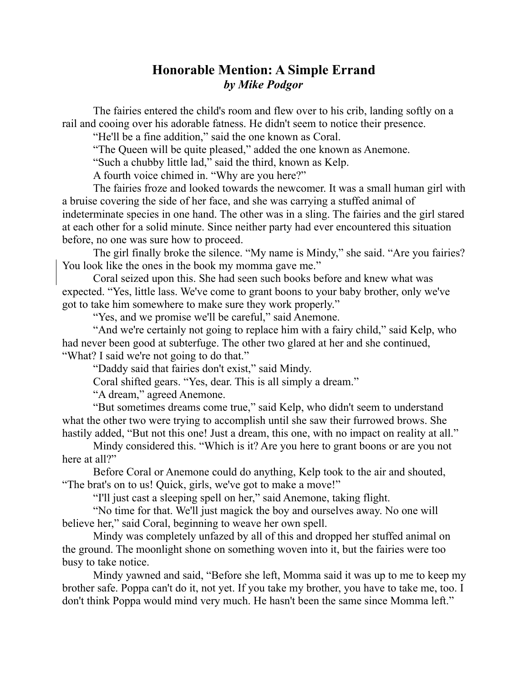## **Honorable Mention: A Simple Errand** *by Mike Podgor*

The fairies entered the child's room and flew over to his crib, landing softly on a rail and cooing over his adorable fatness. He didn't seem to notice their presence.

"He'll be a fine addition," said the one known as Coral.

"The Queen will be quite pleased," added the one known as Anemone.

"Such a chubby little lad," said the third, known as Kelp.

A fourth voice chimed in. "Why are you here?"

The fairies froze and looked towards the newcomer. It was a small human girl with a bruise covering the side of her face, and she was carrying a stuffed animal of indeterminate species in one hand. The other was in a sling. The fairies and the girl stared at each other for a solid minute. Since neither party had ever encountered this situation before, no one was sure how to proceed.

The girl finally broke the silence. "My name is Mindy," she said. "Are you fairies? You look like the ones in the book my momma gave me."

Coral seized upon this. She had seen such books before and knew what was expected. "Yes, little lass. We've come to grant boons to your baby brother, only we've got to take him somewhere to make sure they work properly."

"Yes, and we promise we'll be careful," said Anemone.

"And we're certainly not going to replace him with a fairy child," said Kelp, who had never been good at subterfuge. The other two glared at her and she continued, "What? I said we're not going to do that."

"Daddy said that fairies don't exist," said Mindy.

Coral shifted gears. "Yes, dear. This is all simply a dream."

"A dream," agreed Anemone.

"But sometimes dreams come true," said Kelp, who didn't seem to understand what the other two were trying to accomplish until she saw their furrowed brows. She hastily added, "But not this one! Just a dream, this one, with no impact on reality at all."

Mindy considered this. "Which is it? Are you here to grant boons or are you not here at all?"

Before Coral or Anemone could do anything, Kelp took to the air and shouted, "The brat's on to us! Quick, girls, we've got to make a move!"

"I'll just cast a sleeping spell on her," said Anemone, taking flight.

"No time for that. We'll just magick the boy and ourselves away. No one will believe her," said Coral, beginning to weave her own spell.

Mindy was completely unfazed by all of this and dropped her stuffed animal on the ground. The moonlight shone on something woven into it, but the fairies were too busy to take notice.

Mindy yawned and said, "Before she left, Momma said it was up to me to keep my brother safe. Poppa can't do it, not yet. If you take my brother, you have to take me, too. I don't think Poppa would mind very much. He hasn't been the same since Momma left."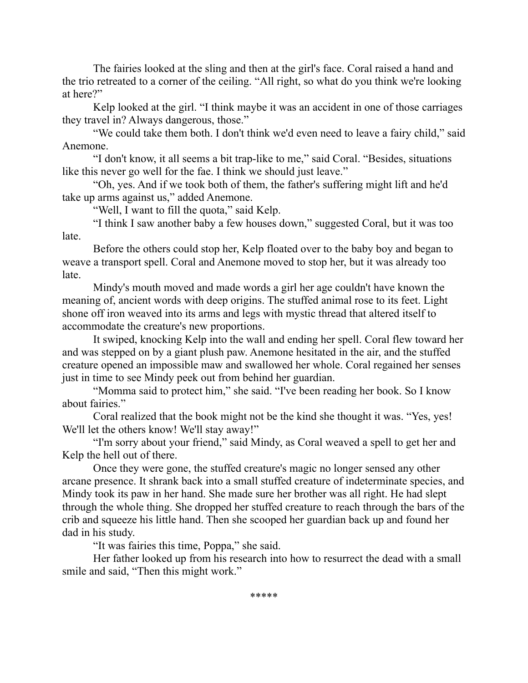The fairies looked at the sling and then at the girl's face. Coral raised a hand and the trio retreated to a corner of the ceiling. "All right, so what do you think we're looking at here?"

Kelp looked at the girl. "I think maybe it was an accident in one of those carriages they travel in? Always dangerous, those."

"We could take them both. I don't think we'd even need to leave a fairy child," said Anemone.

"I don't know, it all seems a bit trap-like to me," said Coral. "Besides, situations like this never go well for the fae. I think we should just leave."

"Oh, yes. And if we took both of them, the father's suffering might lift and he'd take up arms against us," added Anemone.

"Well, I want to fill the quota," said Kelp.

"I think I saw another baby a few houses down," suggested Coral, but it was too late.

Before the others could stop her, Kelp floated over to the baby boy and began to weave a transport spell. Coral and Anemone moved to stop her, but it was already too late.

Mindy's mouth moved and made words a girl her age couldn't have known the meaning of, ancient words with deep origins. The stuffed animal rose to its feet. Light shone off iron weaved into its arms and legs with mystic thread that altered itself to accommodate the creature's new proportions.

It swiped, knocking Kelp into the wall and ending her spell. Coral flew toward her and was stepped on by a giant plush paw. Anemone hesitated in the air, and the stuffed creature opened an impossible maw and swallowed her whole. Coral regained her senses just in time to see Mindy peek out from behind her guardian.

"Momma said to protect him," she said. "I've been reading her book. So I know about fairies."

Coral realized that the book might not be the kind she thought it was. "Yes, yes! We'll let the others know! We'll stay away!"

"I'm sorry about your friend," said Mindy, as Coral weaved a spell to get her and Kelp the hell out of there.

Once they were gone, the stuffed creature's magic no longer sensed any other arcane presence. It shrank back into a small stuffed creature of indeterminate species, and Mindy took its paw in her hand. She made sure her brother was all right. He had slept through the whole thing. She dropped her stuffed creature to reach through the bars of the crib and squeeze his little hand. Then she scooped her guardian back up and found her dad in his study.

"It was fairies this time, Poppa," she said.

Her father looked up from his research into how to resurrect the dead with a small smile and said, "Then this might work."